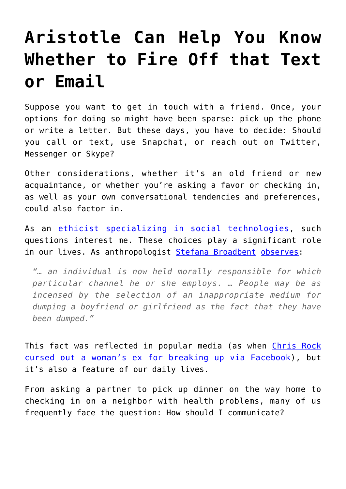## **[Aristotle Can Help You Know](https://intellectualtakeout.org/2018/03/aristotle-can-help-you-know-whether-to-fire-off-that-text-or-email/) [Whether to Fire Off that Text](https://intellectualtakeout.org/2018/03/aristotle-can-help-you-know-whether-to-fire-off-that-text-or-email/) [or Email](https://intellectualtakeout.org/2018/03/aristotle-can-help-you-know-whether-to-fire-off-that-text-or-email/)**

Suppose you want to get in touch with a friend. Once, your options for doing so might have been sparse: pick up the phone or write a letter. But these days, you have to decide: Should you call or text, use Snapchat, or reach out on Twitter, Messenger or Skype?

Other considerations, whether it's an old friend or new acquaintance, or whether you're asking a favor or checking in, as well as your own conversational tendencies and preferences, could also factor in.

As an [ethicist specializing in social technologies](http://www.alexiselder.net), such questions interest me. These choices play a significant role in our lives. As anthropologist [Stefana Broadbent](http://www.ucl.ac.uk/anthropology/centre-for-digital-anthropology/people/#5) [observes:](https://books.google.com/books?hl=en&lr=&id=FVcDAAAAQBAJ&oi=fnd&pg=PT106&dq=stefana+broadbent&ots=9px00gkk1G&sig=tfyTxgPJFDS6lJrIorNY1ho9VsA#v=onepage&q&f=false)

*"… an individual is now held morally responsible for which particular channel he or she employs. … People may be as incensed by the selection of an inappropriate medium for dumping a boyfriend or girlfriend as the fact that they have been dumped."*

This fact was reflected in popular media (as when [Chris Rock](https://www.huffingtonpost.com/2010/10/21/chris-rock-curses-out-a-w_n_772107.html) [cursed out a woman's ex for breaking up via Facebook](https://www.huffingtonpost.com/2010/10/21/chris-rock-curses-out-a-w_n_772107.html)), but it's also a feature of our daily lives.

From asking a partner to pick up dinner on the way home to checking in on a neighbor with health problems, many of us frequently face the question: How should I communicate?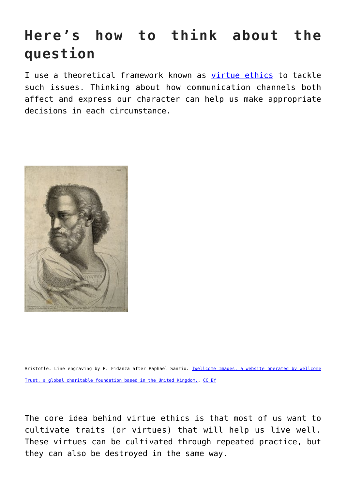## **Here's how to think about the question**

I use a theoretical framework known as [virtue ethics](https://plato.stanford.edu/entries/ethics-virtue/) to tackle such issues. Thinking about how communication channels both affect and express our character can help us make appropriate decisions in each circumstance.



Aristotle. Line engraving by P. Fidanza after Raphael Sanzio. *IWellcome Images, a website operated by Wellcome* [Trust, a global charitable foundation based in the United Kingdom.,](https://commons.wikimedia.org/wiki/File%3AAristotle._Line_engraving_by_P._Fidanza_after_Raphael_Sanzio_Wellcome_V0000205.jpg) [CC BY](http://creativecommons.org/licenses/by/4.0/)

The core idea behind virtue ethics is that most of us want to cultivate traits (or virtues) that will help us live well. These virtues can be cultivated through repeated practice, but they can also be destroyed in the same way.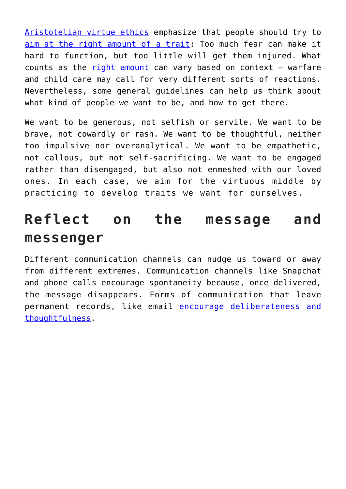[Aristotelian virtue ethics](http://www.iep.utm.edu/aris-eth/) emphasize that people should try to [aim at the right amount of a trait:](http://www.jstor.org/stable/27743819) Too much fear can make it hard to function, but too little will get them injured. What counts as the [right amount](https://books.google.com/books?id=jDl1u-RXoKgC&printsec=frontcover#v=onepage&q&f=false) can vary based on context  $-$  warfare and child care may call for very different sorts of reactions. Nevertheless, some general guidelines can help us think about what kind of people we want to be, and how to get there.

We want to be generous, not selfish or servile. We want to be brave, not cowardly or rash. We want to be thoughtful, neither too impulsive nor overanalytical. We want to be empathetic, not callous, but not self-sacrificing. We want to be engaged rather than disengaged, but also not enmeshed with our loved ones. In each case, we aim for the virtuous middle by practicing to develop traits we want for ourselves.

## **Reflect on the message and messenger**

Different communication channels can nudge us toward or away from different extremes. Communication channels like Snapchat and phone calls encourage spontaneity because, once delivered, the message disappears. Forms of communication that leave permanent records, like email [encourage deliberateness and](https://link.springer.com/article/10.1007/s10676-008-9160-z) [thoughtfulness](https://link.springer.com/article/10.1007/s10676-008-9160-z).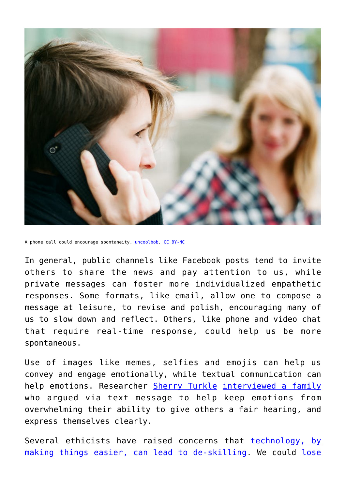

A phone call could encourage spontaneity. [uncoolbob,](https://www.flickr.com/photos/uncoolbob/14131910518/in/photolist-nwMJDC-UVof5Q-EP2jxS-Zdcfpm-7UxDEE-bnqxhq-7hY5TA-8wEJ4i-gtxdc-ii5Bgk-6H8CEY-nz3nx-8sa7qd-Kf9ed-azeJAP-7jK8gt-8TZg4D-nSgEhz-4c4tjp-2486soT-JA5do-e1m8Ku-G7t57-4S5XQG-nodtX2-87uLL3-cpJmZb-dr8LMJ-Sd2WMp-bk7FuR-8dgS9U-21VfRhY-azMs2n-Dp7QEd-5Nd2oA-3HDYJE-RWQnHn-dfJJ4-o4NKAt-8vQZBZ-qTHvvw-7LKHEM-7kGGu9-4SxNUq-YgHWBA-ekV3AJ-5qyMnn-WH9gFs-2AU932-356dHB) [CC BY-NC](http://creativecommons.org/licenses/by-nc/4.0/)

In general, public channels like Facebook posts tend to invite others to share the news and pay attention to us, while private messages can foster more individualized empathetic responses. Some formats, like email, allow one to compose a message at leisure, to revise and polish, encouraging many of us to slow down and reflect. Others, like phone and video chat that require real-time response, could help us be more spontaneous.

Use of images like memes, selfies and emojis can help us convey and engage emotionally, while textual communication can help emotions. Researcher [Sherry Turkle](http://www.mit.edu/%7Esturkle/) [interviewed a family](http://www.reclaimingconversationbook.com/) who argued via text message to help keep emotions from overwhelming their ability to give others a fair hearing, and express themselves clearly.

Several ethicists have raised concerns that [technology, by](https://link.springer.com/article/10.1007/s13347-014-0156-9) [making things easier, can lead to de-skilling.](https://link.springer.com/article/10.1007/s13347-014-0156-9) We could [lose](http://www.reclaimingconversationbook.com/)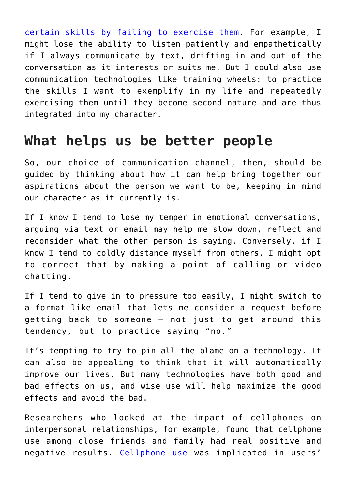[certain skills by failing to exercise them.](http://www.reclaimingconversationbook.com/) For example, I might lose the ability to listen patiently and empathetically if I always communicate by text, drifting in and out of the conversation as it interests or suits me. But I could also use communication technologies like training wheels: to practice the skills I want to exemplify in my life and repeatedly exercising them until they become second nature and are thus integrated into my character.

## **What helps us be better people**

So, our choice of communication channel, then, should be guided by thinking about how it can help bring together our aspirations about the person we want to be, keeping in mind our character as it currently is.

If I know I tend to lose my temper in emotional conversations, arguing via text or email may help me slow down, reflect and reconsider what the other person is saying. Conversely, if I know I tend to coldly distance myself from others, I might opt to correct that by making a point of calling or video chatting.

If I tend to give in to pressure too easily, I might switch to a format like email that lets me consider a request before getting back to someone – not just to get around this tendency, but to practice saying "no."

It's tempting to try to pin all the blame on a technology. It can also be appealing to think that it will automatically improve our lives. But many technologies have both good and bad effects on us, and wise use will help maximize the good effects and avoid the bad.

Researchers who looked at the impact of cellphones on interpersonal relationships, for example, found that cellphone use among close friends and family had real positive and negative results. [Cellphone use](http://journals.sagepub.com/doi/abs/10.1177/1461444811415047) was implicated in users'